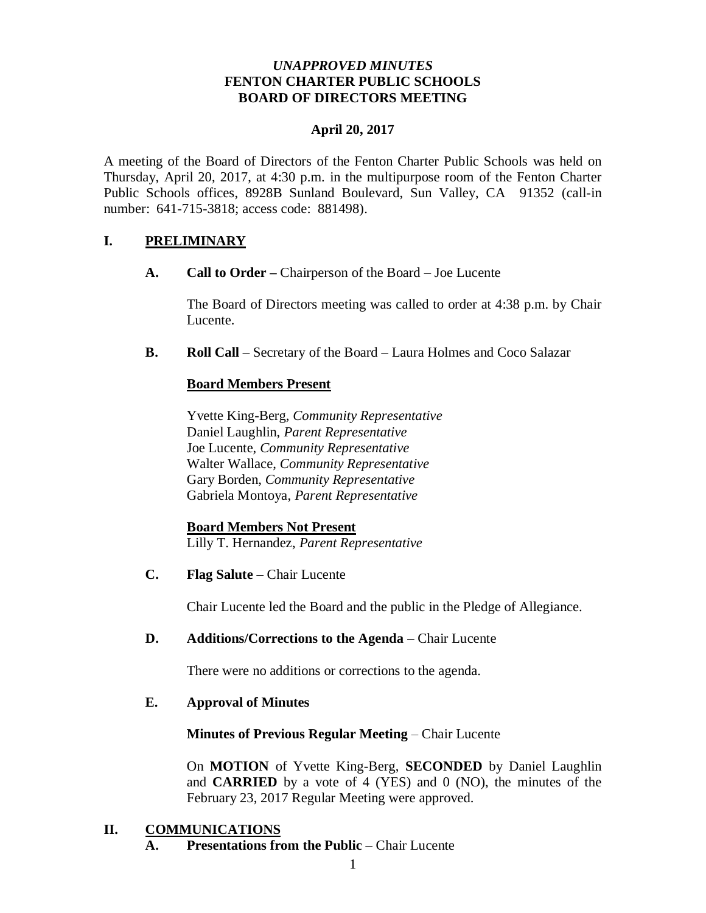## *UNAPPROVED MINUTES* **FENTON CHARTER PUBLIC SCHOOLS BOARD OF DIRECTORS MEETING**

## **April 20, 2017**

A meeting of the Board of Directors of the Fenton Charter Public Schools was held on Thursday, April 20, 2017, at 4:30 p.m. in the multipurpose room of the Fenton Charter Public Schools offices, 8928B Sunland Boulevard, Sun Valley, CA 91352 (call-in number: 641-715-3818; access code: 881498).

# **I. PRELIMINARY**

**A. Call to Order –** Chairperson of the Board – Joe Lucente

The Board of Directors meeting was called to order at 4:38 p.m. by Chair Lucente.

**B. Roll Call** – Secretary of the Board – Laura Holmes and Coco Salazar

## **Board Members Present**

Yvette King-Berg, *Community Representative* Daniel Laughlin, *Parent Representative* Joe Lucente, *Community Representative* Walter Wallace, *Community Representative*  Gary Borden, *Community Representative* Gabriela Montoya, *Parent Representative*

**Board Members Not Present** Lilly T. Hernandez, *Parent Representative*

**C. Flag Salute** – Chair Lucente

Chair Lucente led the Board and the public in the Pledge of Allegiance.

#### **D. Additions/Corrections to the Agenda** – Chair Lucente

There were no additions or corrections to the agenda.

#### **E. Approval of Minutes**

#### **Minutes of Previous Regular Meeting** – Chair Lucente

On **MOTION** of Yvette King-Berg, **SECONDED** by Daniel Laughlin and **CARRIED** by a vote of 4 (YES) and 0 (NO), the minutes of the February 23, 2017 Regular Meeting were approved.

## **II. COMMUNICATIONS**

**A. Presentations from the Public** – Chair Lucente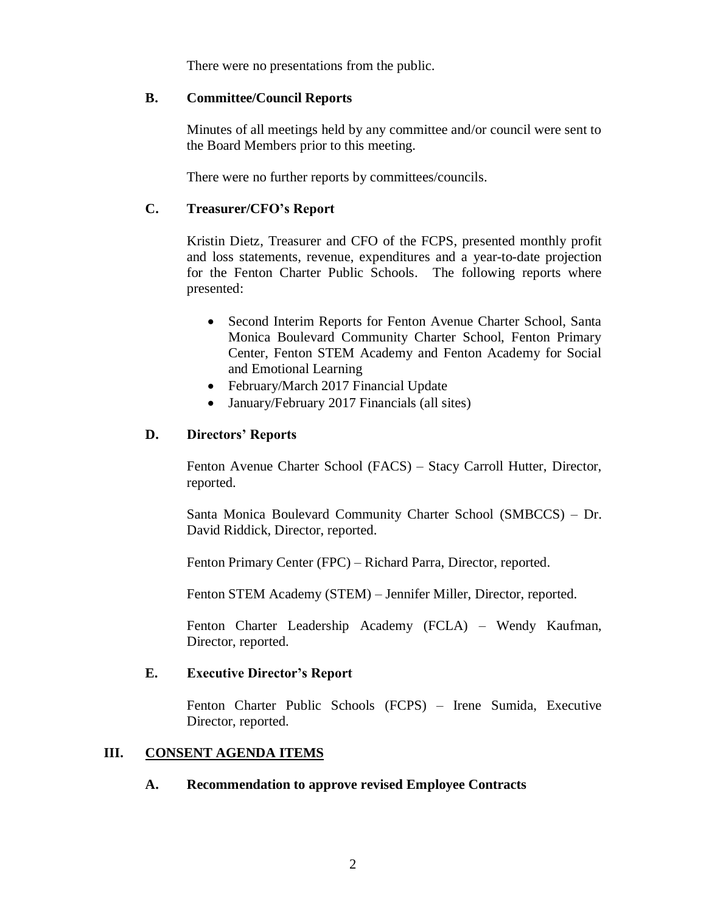There were no presentations from the public.

#### **B. Committee/Council Reports**

Minutes of all meetings held by any committee and/or council were sent to the Board Members prior to this meeting.

There were no further reports by committees/councils.

## **C. Treasurer/CFO's Report**

Kristin Dietz, Treasurer and CFO of the FCPS, presented monthly profit and loss statements, revenue, expenditures and a year-to-date projection for the Fenton Charter Public Schools. The following reports where presented:

- Second Interim Reports for Fenton Avenue Charter School, Santa Monica Boulevard Community Charter School, Fenton Primary Center, Fenton STEM Academy and Fenton Academy for Social and Emotional Learning
- February/March 2017 Financial Update
- January/February 2017 Financials (all sites)

## **D. Directors' Reports**

Fenton Avenue Charter School (FACS) – Stacy Carroll Hutter, Director, reported.

Santa Monica Boulevard Community Charter School (SMBCCS) – Dr. David Riddick, Director, reported.

Fenton Primary Center (FPC) – Richard Parra, Director, reported.

Fenton STEM Academy (STEM) – Jennifer Miller, Director, reported.

Fenton Charter Leadership Academy (FCLA) – Wendy Kaufman, Director, reported.

### **E. Executive Director's Report**

Fenton Charter Public Schools (FCPS) – Irene Sumida, Executive Director, reported.

#### **III. CONSENT AGENDA ITEMS**

#### **A. Recommendation to approve revised Employee Contracts**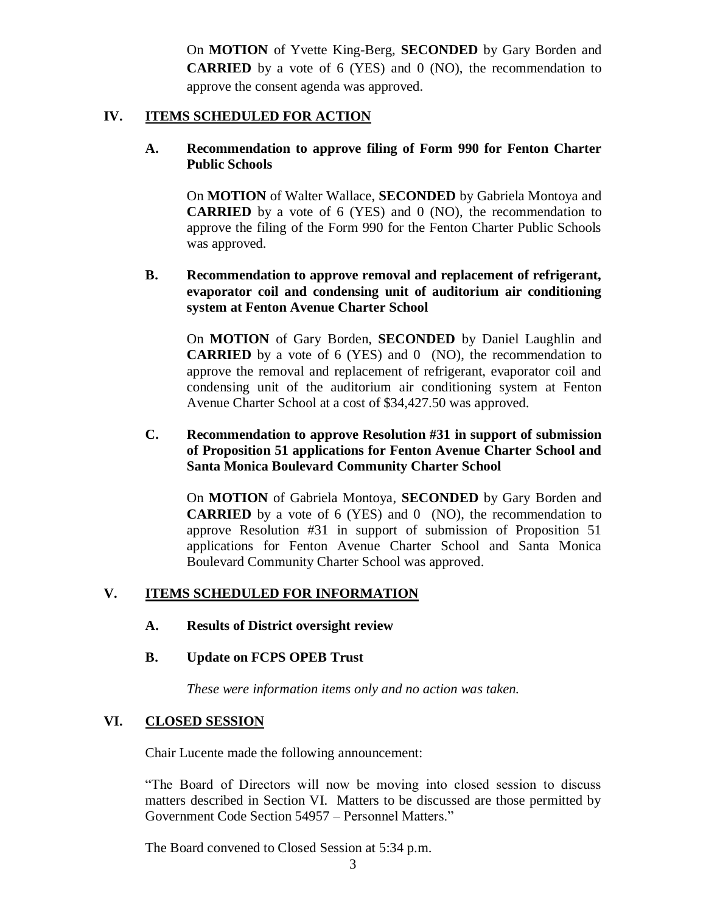On **MOTION** of Yvette King-Berg, **SECONDED** by Gary Borden and **CARRIED** by a vote of 6 (YES) and 0 (NO), the recommendation to approve the consent agenda was approved.

#### **IV. ITEMS SCHEDULED FOR ACTION**

#### **A. Recommendation to approve filing of Form 990 for Fenton Charter Public Schools**

On **MOTION** of Walter Wallace, **SECONDED** by Gabriela Montoya and **CARRIED** by a vote of 6 (YES) and 0 (NO), the recommendation to approve the filing of the Form 990 for the Fenton Charter Public Schools was approved.

### **B. Recommendation to approve removal and replacement of refrigerant, evaporator coil and condensing unit of auditorium air conditioning system at Fenton Avenue Charter School**

On **MOTION** of Gary Borden, **SECONDED** by Daniel Laughlin and **CARRIED** by a vote of 6 (YES) and 0 (NO), the recommendation to approve the removal and replacement of refrigerant, evaporator coil and condensing unit of the auditorium air conditioning system at Fenton Avenue Charter School at a cost of \$34,427.50 was approved.

### **C. Recommendation to approve Resolution #31 in support of submission of Proposition 51 applications for Fenton Avenue Charter School and Santa Monica Boulevard Community Charter School**

On **MOTION** of Gabriela Montoya, **SECONDED** by Gary Borden and **CARRIED** by a vote of 6 (YES) and 0 (NO), the recommendation to approve Resolution #31 in support of submission of Proposition 51 applications for Fenton Avenue Charter School and Santa Monica Boulevard Community Charter School was approved.

#### **V. ITEMS SCHEDULED FOR INFORMATION**

**A. Results of District oversight review**

#### **B. Update on FCPS OPEB Trust**

*These were information items only and no action was taken.*

#### **VI. CLOSED SESSION**

Chair Lucente made the following announcement:

"The Board of Directors will now be moving into closed session to discuss matters described in Section VI. Matters to be discussed are those permitted by Government Code Section 54957 – Personnel Matters."

The Board convened to Closed Session at 5:34 p.m.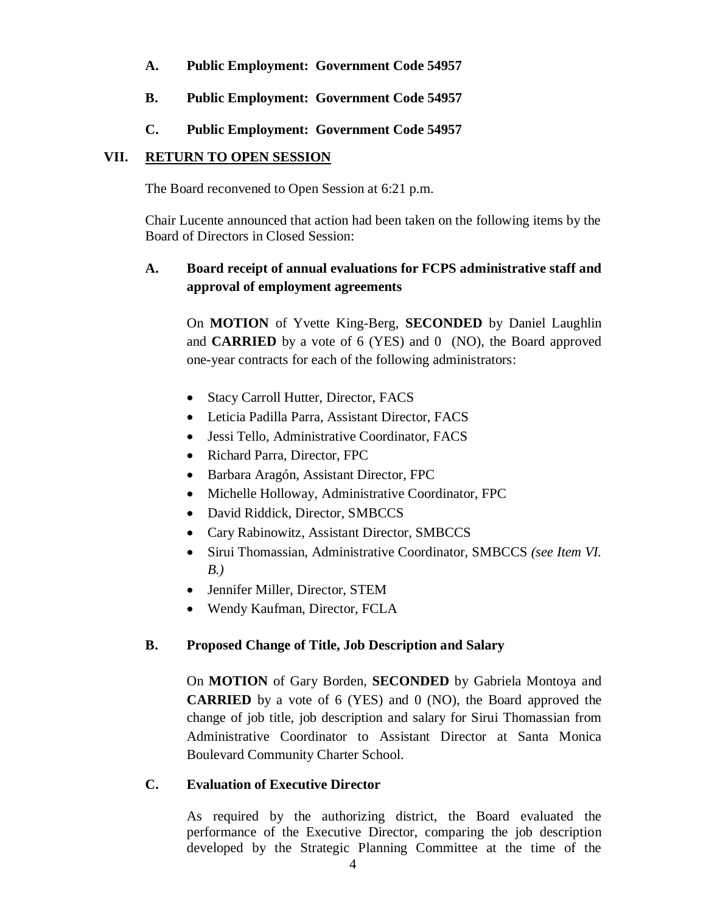- **A. Public Employment: Government Code 54957**
- **B. Public Employment: Government Code 54957**
- **C. Public Employment: Government Code 54957**

# **VII. RETURN TO OPEN SESSION**

The Board reconvened to Open Session at 6:21 p.m.

Chair Lucente announced that action had been taken on the following items by the Board of Directors in Closed Session:

# **A. Board receipt of annual evaluations for FCPS administrative staff and approval of employment agreements**

On **MOTION** of Yvette King-Berg, **SECONDED** by Daniel Laughlin and **CARRIED** by a vote of 6 (YES) and 0 (NO), the Board approved one-year contracts for each of the following administrators:

- Stacy Carroll Hutter, Director, FACS
- Leticia Padilla Parra, Assistant Director, FACS
- Jessi Tello, Administrative Coordinator, FACS
- Richard Parra, Director, FPC
- Barbara Aragón, Assistant Director, FPC
- Michelle Holloway, Administrative Coordinator, FPC
- David Riddick, Director, SMBCCS
- Cary Rabinowitz, Assistant Director, SMBCCS
- Sirui Thomassian, Administrative Coordinator, SMBCCS *(see Item VI. B.)*
- Jennifer Miller, Director, STEM
- Wendy Kaufman, Director, FCLA

## **B. Proposed Change of Title, Job Description and Salary**

On **MOTION** of Gary Borden, **SECONDED** by Gabriela Montoya and **CARRIED** by a vote of 6 (YES) and 0 (NO), the Board approved the change of job title, job description and salary for Sirui Thomassian from Administrative Coordinator to Assistant Director at Santa Monica Boulevard Community Charter School.

## **C. Evaluation of Executive Director**

As required by the authorizing district, the Board evaluated the performance of the Executive Director, comparing the job description developed by the Strategic Planning Committee at the time of the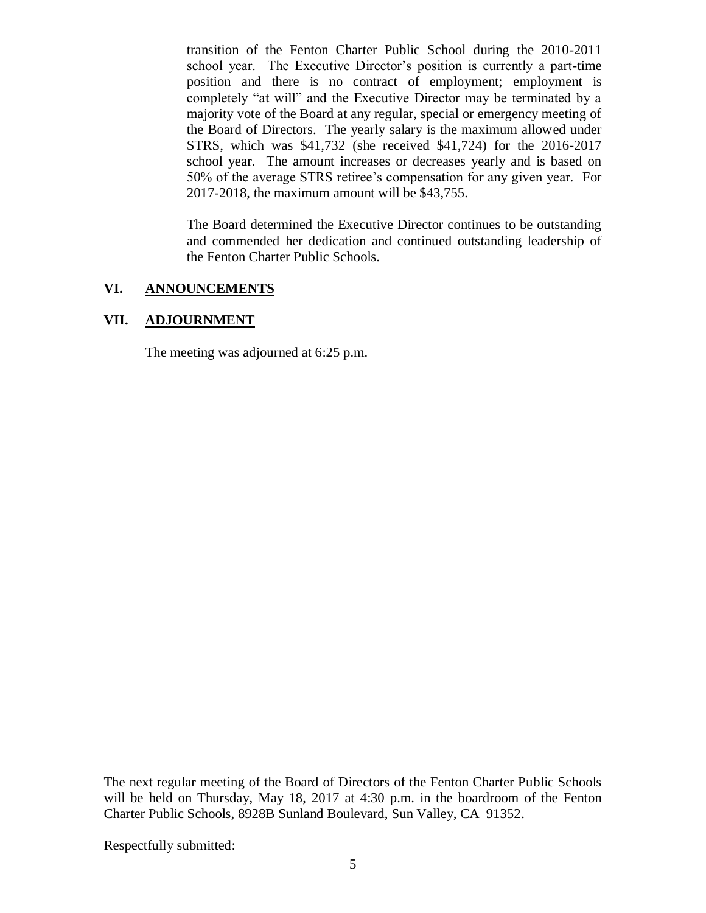transition of the Fenton Charter Public School during the 2010-2011 school year. The Executive Director's position is currently a part-time position and there is no contract of employment; employment is completely "at will" and the Executive Director may be terminated by a majority vote of the Board at any regular, special or emergency meeting of the Board of Directors. The yearly salary is the maximum allowed under STRS, which was \$41,732 (she received \$41,724) for the 2016-2017 school year. The amount increases or decreases yearly and is based on 50% of the average STRS retiree's compensation for any given year. For 2017-2018, the maximum amount will be \$43,755.

The Board determined the Executive Director continues to be outstanding and commended her dedication and continued outstanding leadership of the Fenton Charter Public Schools.

## **VI. ANNOUNCEMENTS**

# **VII. ADJOURNMENT**

The meeting was adjourned at 6:25 p.m.

The next regular meeting of the Board of Directors of the Fenton Charter Public Schools will be held on Thursday, May 18, 2017 at 4:30 p.m. in the boardroom of the Fenton Charter Public Schools, 8928B Sunland Boulevard, Sun Valley, CA 91352.

Respectfully submitted: